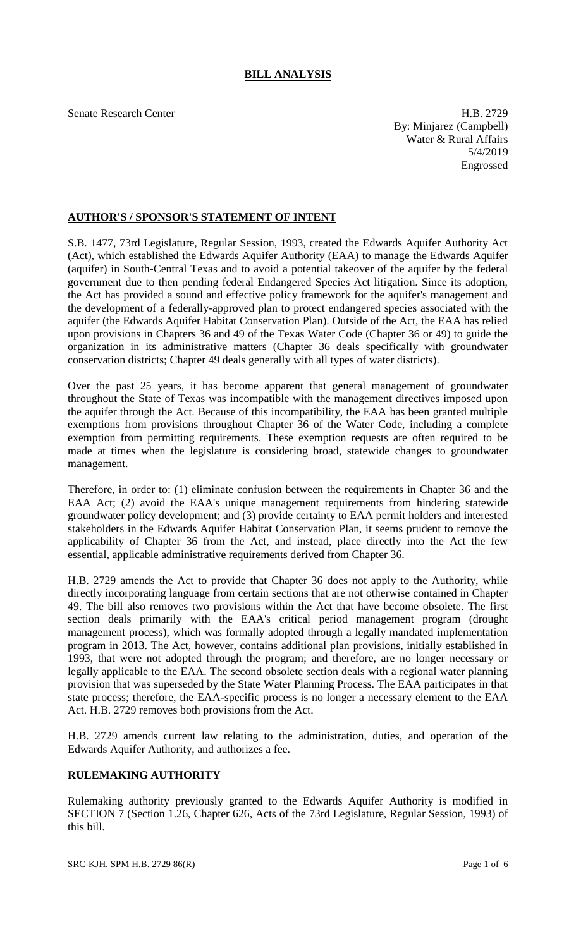## **BILL ANALYSIS**

Senate Research Center **H.B. 2729** By: Minjarez (Campbell) Water & Rural Affairs 5/4/2019 Engrossed

## **AUTHOR'S / SPONSOR'S STATEMENT OF INTENT**

S.B. 1477, 73rd Legislature, Regular Session, 1993, created the Edwards Aquifer Authority Act (Act), which established the Edwards Aquifer Authority (EAA) to manage the Edwards Aquifer (aquifer) in South-Central Texas and to avoid a potential takeover of the aquifer by the federal government due to then pending federal Endangered Species Act litigation. Since its adoption, the Act has provided a sound and effective policy framework for the aquifer's management and the development of a federally-approved plan to protect endangered species associated with the aquifer (the Edwards Aquifer Habitat Conservation Plan). Outside of the Act, the EAA has relied upon provisions in Chapters 36 and 49 of the Texas Water Code (Chapter 36 or 49) to guide the organization in its administrative matters (Chapter 36 deals specifically with groundwater conservation districts; Chapter 49 deals generally with all types of water districts).

Over the past 25 years, it has become apparent that general management of groundwater throughout the State of Texas was incompatible with the management directives imposed upon the aquifer through the Act. Because of this incompatibility, the EAA has been granted multiple exemptions from provisions throughout Chapter 36 of the Water Code, including a complete exemption from permitting requirements. These exemption requests are often required to be made at times when the legislature is considering broad, statewide changes to groundwater management.

Therefore, in order to: (1) eliminate confusion between the requirements in Chapter 36 and the EAA Act; (2) avoid the EAA's unique management requirements from hindering statewide groundwater policy development; and (3) provide certainty to EAA permit holders and interested stakeholders in the Edwards Aquifer Habitat Conservation Plan, it seems prudent to remove the applicability of Chapter 36 from the Act, and instead, place directly into the Act the few essential, applicable administrative requirements derived from Chapter 36.

H.B. 2729 amends the Act to provide that Chapter 36 does not apply to the Authority, while directly incorporating language from certain sections that are not otherwise contained in Chapter 49. The bill also removes two provisions within the Act that have become obsolete. The first section deals primarily with the EAA's critical period management program (drought management process), which was formally adopted through a legally mandated implementation program in 2013. The Act, however, contains additional plan provisions, initially established in 1993, that were not adopted through the program; and therefore, are no longer necessary or legally applicable to the EAA. The second obsolete section deals with a regional water planning provision that was superseded by the State Water Planning Process. The EAA participates in that state process; therefore, the EAA-specific process is no longer a necessary element to the EAA Act. H.B. 2729 removes both provisions from the Act.

H.B. 2729 amends current law relating to the administration, duties, and operation of the Edwards Aquifer Authority, and authorizes a fee.

## **RULEMAKING AUTHORITY**

Rulemaking authority previously granted to the Edwards Aquifer Authority is modified in SECTION 7 (Section 1.26, Chapter 626, Acts of the 73rd Legislature, Regular Session, 1993) of this bill.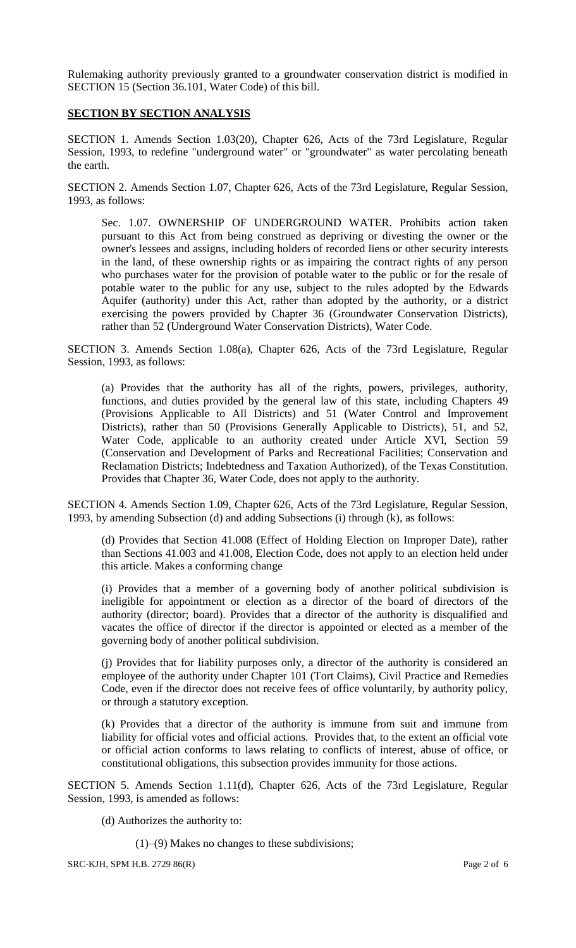Rulemaking authority previously granted to a groundwater conservation district is modified in SECTION 15 (Section 36.101, Water Code) of this bill.

## **SECTION BY SECTION ANALYSIS**

SECTION 1. Amends Section 1.03(20), Chapter 626, Acts of the 73rd Legislature, Regular Session, 1993, to redefine "underground water" or "groundwater" as water percolating beneath the earth.

SECTION 2. Amends Section 1.07, Chapter 626, Acts of the 73rd Legislature, Regular Session, 1993, as follows:

Sec. 1.07. OWNERSHIP OF UNDERGROUND WATER. Prohibits action taken pursuant to this Act from being construed as depriving or divesting the owner or the owner's lessees and assigns, including holders of recorded liens or other security interests in the land, of these ownership rights or as impairing the contract rights of any person who purchases water for the provision of potable water to the public or for the resale of potable water to the public for any use, subject to the rules adopted by the Edwards Aquifer (authority) under this Act, rather than adopted by the authority, or a district exercising the powers provided by Chapter 36 (Groundwater Conservation Districts), rather than 52 (Underground Water Conservation Districts), Water Code.

SECTION 3. Amends Section 1.08(a), Chapter 626, Acts of the 73rd Legislature, Regular Session, 1993, as follows:

(a) Provides that the authority has all of the rights, powers, privileges, authority, functions, and duties provided by the general law of this state, including Chapters 49 (Provisions Applicable to All Districts) and 51 (Water Control and Improvement Districts), rather than 50 (Provisions Generally Applicable to Districts), 51, and 52, Water Code, applicable to an authority created under Article XVI, Section 59 (Conservation and Development of Parks and Recreational Facilities; Conservation and Reclamation Districts; Indebtedness and Taxation Authorized), of the Texas Constitution. Provides that Chapter 36, Water Code, does not apply to the authority.

SECTION 4. Amends Section 1.09, Chapter 626, Acts of the 73rd Legislature, Regular Session, 1993, by amending Subsection (d) and adding Subsections (i) through (k), as follows:

(d) Provides that Section 41.008 (Effect of Holding Election on Improper Date), rather than Sections 41.003 and 41.008, Election Code, does not apply to an election held under this article. Makes a conforming change

(i) Provides that a member of a governing body of another political subdivision is ineligible for appointment or election as a director of the board of directors of the authority (director; board). Provides that a director of the authority is disqualified and vacates the office of director if the director is appointed or elected as a member of the governing body of another political subdivision.

(j) Provides that for liability purposes only, a director of the authority is considered an employee of the authority under Chapter 101 (Tort Claims), Civil Practice and Remedies Code, even if the director does not receive fees of office voluntarily, by authority policy, or through a statutory exception.

(k) Provides that a director of the authority is immune from suit and immune from liability for official votes and official actions. Provides that, to the extent an official vote or official action conforms to laws relating to conflicts of interest, abuse of office, or constitutional obligations, this subsection provides immunity for those actions.

SECTION 5. Amends Section 1.11(d), Chapter 626, Acts of the 73rd Legislature, Regular Session, 1993, is amended as follows:

(d) Authorizes the authority to:

(1)–(9) Makes no changes to these subdivisions;

SRC-KJH, SPM H.B. 2729 86(R) Page 2 of 6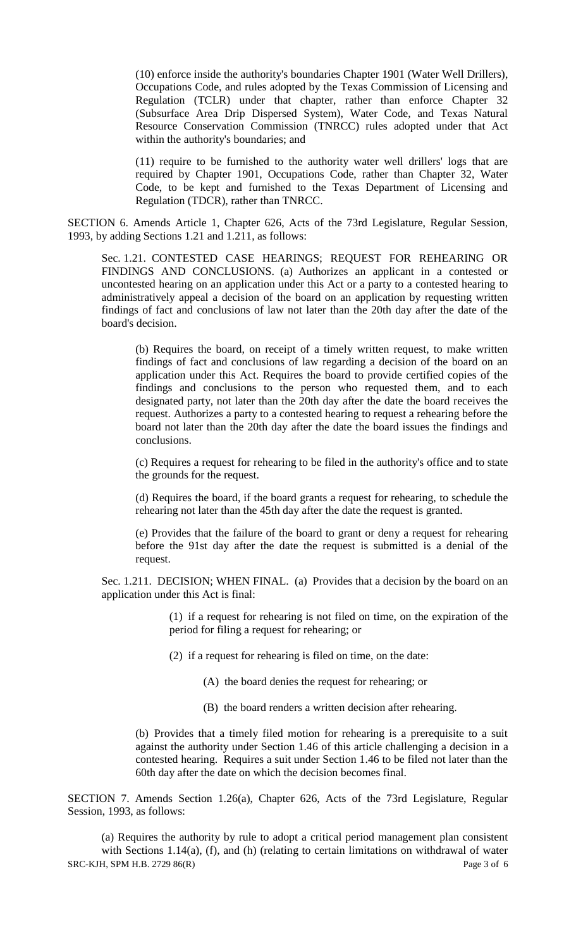(10) enforce inside the authority's boundaries Chapter 1901 (Water Well Drillers), Occupations Code, and rules adopted by the Texas Commission of Licensing and Regulation (TCLR) under that chapter, rather than enforce Chapter 32 (Subsurface Area Drip Dispersed System), Water Code, and Texas Natural Resource Conservation Commission (TNRCC) rules adopted under that Act within the authority's boundaries; and

(11) require to be furnished to the authority water well drillers' logs that are required by Chapter 1901, Occupations Code, rather than Chapter 32, Water Code, to be kept and furnished to the Texas Department of Licensing and Regulation (TDCR), rather than TNRCC.

SECTION 6. Amends Article 1, Chapter 626, Acts of the 73rd Legislature, Regular Session, 1993, by adding Sections 1.21 and 1.211, as follows:

Sec. 1.21. CONTESTED CASE HEARINGS; REQUEST FOR REHEARING OR FINDINGS AND CONCLUSIONS. (a) Authorizes an applicant in a contested or uncontested hearing on an application under this Act or a party to a contested hearing to administratively appeal a decision of the board on an application by requesting written findings of fact and conclusions of law not later than the 20th day after the date of the board's decision.

(b) Requires the board, on receipt of a timely written request, to make written findings of fact and conclusions of law regarding a decision of the board on an application under this Act. Requires the board to provide certified copies of the findings and conclusions to the person who requested them, and to each designated party, not later than the 20th day after the date the board receives the request. Authorizes a party to a contested hearing to request a rehearing before the board not later than the 20th day after the date the board issues the findings and conclusions.

(c) Requires a request for rehearing to be filed in the authority's office and to state the grounds for the request.

(d) Requires the board, if the board grants a request for rehearing, to schedule the rehearing not later than the 45th day after the date the request is granted.

(e) Provides that the failure of the board to grant or deny a request for rehearing before the 91st day after the date the request is submitted is a denial of the request.

Sec. 1.211. DECISION; WHEN FINAL. (a) Provides that a decision by the board on an application under this Act is final:

> (1) if a request for rehearing is not filed on time, on the expiration of the period for filing a request for rehearing; or

- (2) if a request for rehearing is filed on time, on the date:
	- (A) the board denies the request for rehearing; or
	- (B) the board renders a written decision after rehearing.

(b) Provides that a timely filed motion for rehearing is a prerequisite to a suit against the authority under Section 1.46 of this article challenging a decision in a contested hearing. Requires a suit under Section 1.46 to be filed not later than the 60th day after the date on which the decision becomes final.

SECTION 7. Amends Section 1.26(a), Chapter 626, Acts of the 73rd Legislature, Regular Session, 1993, as follows:

SRC-KJH, SPM H.B. 2729 86(R) Page 3 of 6 (a) Requires the authority by rule to adopt a critical period management plan consistent with Sections 1.14(a), (f), and (h) (relating to certain limitations on withdrawal of water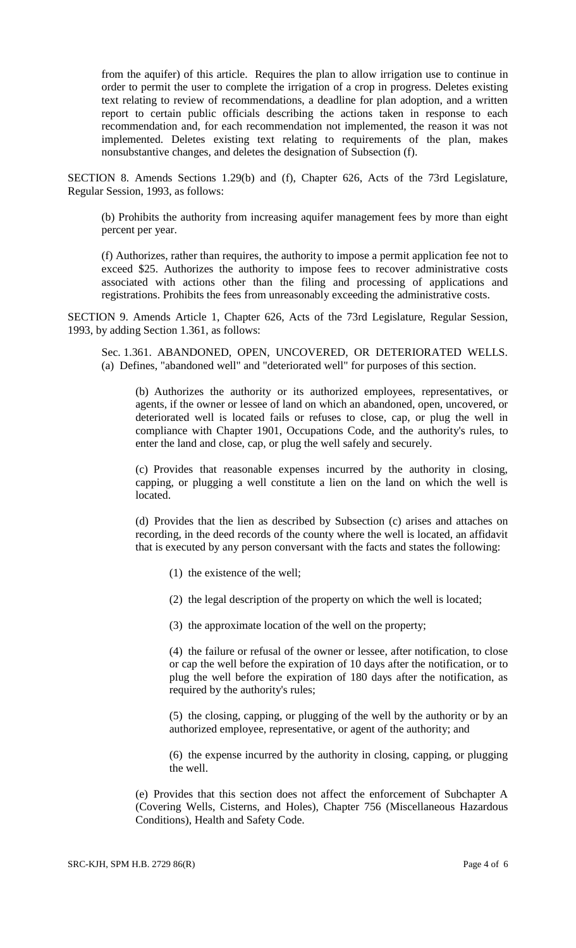from the aquifer) of this article. Requires the plan to allow irrigation use to continue in order to permit the user to complete the irrigation of a crop in progress. Deletes existing text relating to review of recommendations, a deadline for plan adoption, and a written report to certain public officials describing the actions taken in response to each recommendation and, for each recommendation not implemented, the reason it was not implemented. Deletes existing text relating to requirements of the plan, makes nonsubstantive changes, and deletes the designation of Subsection (f).

SECTION 8. Amends Sections 1.29(b) and (f), Chapter 626, Acts of the 73rd Legislature, Regular Session, 1993, as follows:

(b) Prohibits the authority from increasing aquifer management fees by more than eight percent per year.

(f) Authorizes, rather than requires, the authority to impose a permit application fee not to exceed \$25. Authorizes the authority to impose fees to recover administrative costs associated with actions other than the filing and processing of applications and registrations. Prohibits the fees from unreasonably exceeding the administrative costs.

SECTION 9. Amends Article 1, Chapter 626, Acts of the 73rd Legislature, Regular Session, 1993, by adding Section 1.361, as follows:

Sec. 1.361. ABANDONED, OPEN, UNCOVERED, OR DETERIORATED WELLS. (a) Defines, "abandoned well" and "deteriorated well" for purposes of this section.

(b) Authorizes the authority or its authorized employees, representatives, or agents, if the owner or lessee of land on which an abandoned, open, uncovered, or deteriorated well is located fails or refuses to close, cap, or plug the well in compliance with Chapter 1901, Occupations Code, and the authority's rules, to enter the land and close, cap, or plug the well safely and securely.

(c) Provides that reasonable expenses incurred by the authority in closing, capping, or plugging a well constitute a lien on the land on which the well is located.

(d) Provides that the lien as described by Subsection (c) arises and attaches on recording, in the deed records of the county where the well is located, an affidavit that is executed by any person conversant with the facts and states the following:

- (1) the existence of the well;
- (2) the legal description of the property on which the well is located;
- (3) the approximate location of the well on the property;

(4) the failure or refusal of the owner or lessee, after notification, to close or cap the well before the expiration of 10 days after the notification, or to plug the well before the expiration of 180 days after the notification, as required by the authority's rules;

(5) the closing, capping, or plugging of the well by the authority or by an authorized employee, representative, or agent of the authority; and

(6) the expense incurred by the authority in closing, capping, or plugging the well.

(e) Provides that this section does not affect the enforcement of Subchapter A (Covering Wells, Cisterns, and Holes), Chapter 756 (Miscellaneous Hazardous Conditions), Health and Safety Code.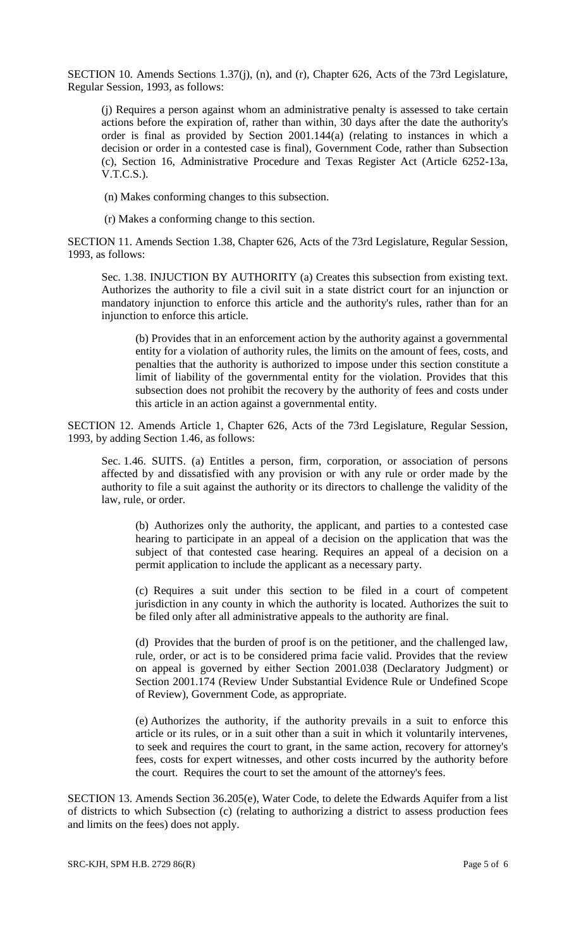SECTION 10. Amends Sections 1.37(j), (n), and (r), Chapter 626, Acts of the 73rd Legislature, Regular Session, 1993, as follows:

(j) Requires a person against whom an administrative penalty is assessed to take certain actions before the expiration of, rather than within, 30 days after the date the authority's order is final as provided by Section 2001.144(a) (relating to instances in which a decision or order in a contested case is final), Government Code, rather than Subsection (c), Section 16, Administrative Procedure and Texas Register Act (Article 6252-13a, V.T.C.S.).

(n) Makes conforming changes to this subsection.

(r) Makes a conforming change to this section.

SECTION 11. Amends Section 1.38, Chapter 626, Acts of the 73rd Legislature, Regular Session, 1993, as follows:

Sec. 1.38. INJUCTION BY AUTHORITY (a) Creates this subsection from existing text. Authorizes the authority to file a civil suit in a state district court for an injunction or mandatory injunction to enforce this article and the authority's rules, rather than for an injunction to enforce this article.

(b) Provides that in an enforcement action by the authority against a governmental entity for a violation of authority rules, the limits on the amount of fees, costs, and penalties that the authority is authorized to impose under this section constitute a limit of liability of the governmental entity for the violation. Provides that this subsection does not prohibit the recovery by the authority of fees and costs under this article in an action against a governmental entity.

SECTION 12. Amends Article 1, Chapter 626, Acts of the 73rd Legislature, Regular Session, 1993, by adding Section 1.46, as follows:

Sec. 1.46. SUITS. (a) Entitles a person, firm, corporation, or association of persons affected by and dissatisfied with any provision or with any rule or order made by the authority to file a suit against the authority or its directors to challenge the validity of the law, rule, or order.

(b) Authorizes only the authority, the applicant, and parties to a contested case hearing to participate in an appeal of a decision on the application that was the subject of that contested case hearing. Requires an appeal of a decision on a permit application to include the applicant as a necessary party.

(c) Requires a suit under this section to be filed in a court of competent jurisdiction in any county in which the authority is located. Authorizes the suit to be filed only after all administrative appeals to the authority are final.

(d) Provides that the burden of proof is on the petitioner, and the challenged law, rule, order, or act is to be considered prima facie valid. Provides that the review on appeal is governed by either Section 2001.038 (Declaratory Judgment) or Section 2001.174 (Review Under Substantial Evidence Rule or Undefined Scope of Review), Government Code, as appropriate.

(e) Authorizes the authority, if the authority prevails in a suit to enforce this article or its rules, or in a suit other than a suit in which it voluntarily intervenes, to seek and requires the court to grant, in the same action, recovery for attorney's fees, costs for expert witnesses, and other costs incurred by the authority before the court. Requires the court to set the amount of the attorney's fees.

SECTION 13. Amends Section 36.205(e), Water Code, to delete the Edwards Aquifer from a list of districts to which Subsection (c) (relating to authorizing a district to assess production fees and limits on the fees) does not apply.